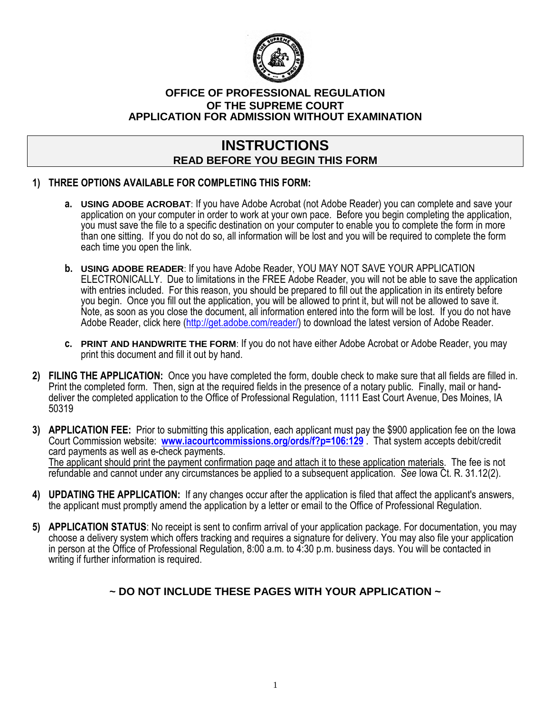

#### **OFFICE OF PROFESSIONAL REGULATION OF THE SUPREME COURT APPLICATION FOR ADMISSION WITHOUT EXAMINATION**

# **INSTRUCTIONS READ BEFORE YOU BEGIN THIS FORM**

### **1) THREE OPTIONS AVAILABLE FOR COMPLETING THIS FORM:**

- **a. USING ADOBE ACROBAT**: If you have Adobe Acrobat (not Adobe Reader) you can complete and save your application on your computer in order to work at your own pace. Before you begin completing the application, you must save the file to a specific destination on your computer to enable you to complete the form in more than one sitting. If you do not do so, all information will be lost and you will be required to complete the form each time you open the link.
- **b. USING ADOBE READER**: If you have Adobe Reader, YOU MAY NOT SAVE YOUR APPLICATION ELECTRONICALLY. Due to limitations in the FREE Adobe Reader, you will not be able to save the application with entries included. For this reason, you should be prepared to fill out the application in its entirety before you begin. Once you fill out the application, you will be allowed to print it, but will not be allowed to save it. Note, as soon as you close the document, all information entered into the form will be lost. If you do not have Adobe Reader, click here [\(http://get.adobe.com/reader/](http://get.adobe.com/reader/)) to download the latest version of Adobe Reader.
- **c. PRINT AND HANDWRITE THE FORM**: If you do not have either Adobe Acrobat or Adobe Reader, you may print this document and fill it out by hand.
- **2) FILING THE APPLICATION:** Once you have completed the form, double check to make sure that all fields are filled in. Print the completed form. Then, sign at the required fields in the presence of a notary public. Finally, mail or handdeliver the completed application to the Office of Professional Regulation, 1111 East Court Avenue, Des Moines, IA 50319
- **3) APPLICATION FEE:** Prior to submitting this application, each applicant must pay the \$900 application fee on the Iowa Court Commission website: **[www.iacourtcommissions.org/ords/f?p=106:129](http://www.iacourtcommissions.org/ords/f?p=106:129)** . That system accepts debit/credit card payments as well as e-check payments. The applicant should print the payment confirmation page and attach it to these application materials. The fee is not refundable and cannot under any circumstances be applied to a subsequent application. *See* Iowa Ct. R. 31.12(2).
- **4) UPDATING THE APPLICATION:** If any changes occur after the application is filed that affect the applicant's answers, the applicant must promptly amend the application by a letter or email to the Office of Professional Regulation.
- **5) APPLICATION STATUS**: No receipt is sent to confirm arrival of your application package. For documentation, you may choose a delivery system which offers tracking and requires a signature for delivery. You may also file your application in person at the Office of Professional Regulation, 8:00 a.m. to 4:30 p.m. business days. You will be contacted in writing if further information is required.

## **~ DO NOT INCLUDE THESE PAGES WITH YOUR APPLICATION ~**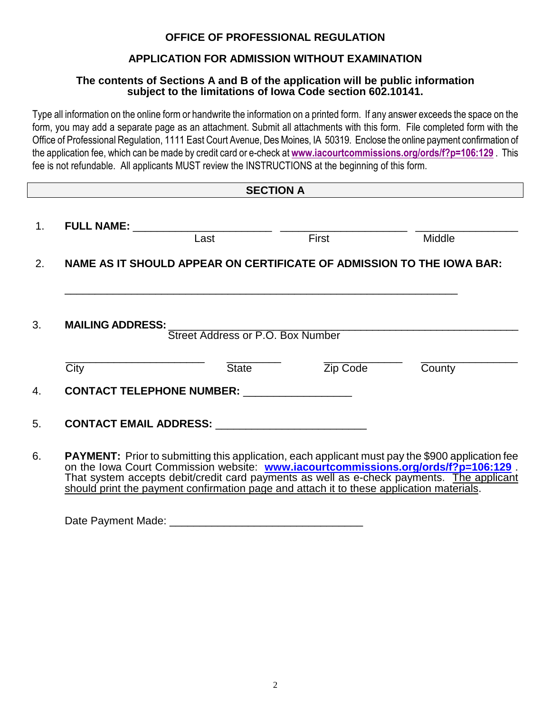## **OFFICE OF PROFESSIONAL REGULATION**

## **APPLICATION FOR ADMISSION WITHOUT EXAMINATION**

#### **The contents of Sections A and B of the application will be public information subject to the limitations of Iowa Code section 602.10141.**

Type all information on the online form or handwrite the information on a printed form. If any answer exceeds the space on the form, you may add a separate page as an attachment. Submit all attachments with this form. File completed form with the Office of Professional Regulation, 1111 East Court Avenue, Des Moines, IA 50319. Enclose the online payment confirmation of the application fee, which can be made by credit card or e-check at **[www.iacourtcommissions.org/ords/f?p=106:129](http://www.iacourtcommissions.org/ords/f?p=106:129)** . This fee is not refundable. All applicants MUST review the INSTRUCTIONS at the beginning of this form.

|                | <b>SECTION A</b>        |                                                                       |              |                                                                                                                                                                                              |
|----------------|-------------------------|-----------------------------------------------------------------------|--------------|----------------------------------------------------------------------------------------------------------------------------------------------------------------------------------------------|
| 1 <sub>1</sub> | <b>FULL NAME:</b>       | Last                                                                  | <b>First</b> | Middle                                                                                                                                                                                       |
| 2.             |                         | NAME AS IT SHOULD APPEAR ON CERTIFICATE OF ADMISSION TO THE IOWA BAR: |              |                                                                                                                                                                                              |
|                |                         |                                                                       |              |                                                                                                                                                                                              |
| 3.             | <b>MAILING ADDRESS:</b> | Street Address or P.O. Box Number                                     |              |                                                                                                                                                                                              |
|                | City                    | <b>State</b>                                                          | Zip Code     | County                                                                                                                                                                                       |
| 4.             |                         | <b>CONTACT TELEPHONE NUMBER:</b>                                      |              |                                                                                                                                                                                              |
| 5.             |                         |                                                                       |              |                                                                                                                                                                                              |
| 6.             |                         |                                                                       |              | <b>PAYMENT:</b> Prior to submitting this application, each applicant must pay the \$900 application fee<br>on the Iowa Court Commission website: www.iacourtcommissions.org/ords/f?p=106:129 |

That system accepts debit/credit card payments as well as e-check payments. The applicant should print the payment confirmation page and attach it to these application materials.

Date Payment Made: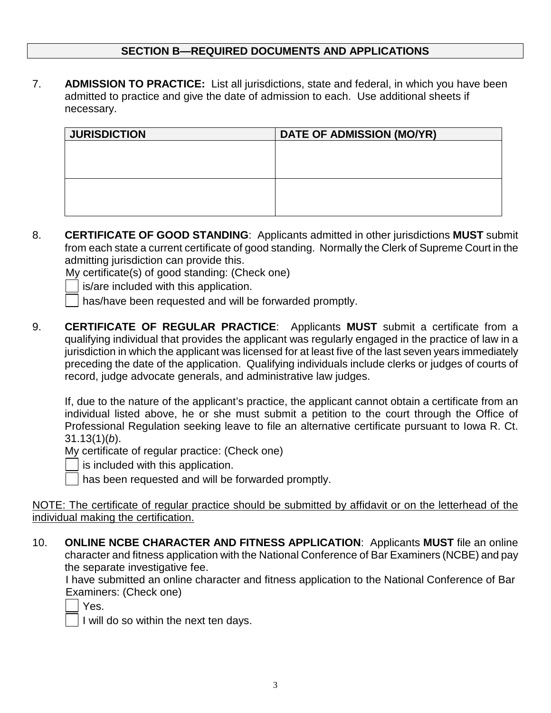### **SECTION B—REQUIRED DOCUMENTS AND APPLICATIONS**

7. **ADMISSION TO PRACTICE:** List all jurisdictions, state and federal, in which you have been admitted to practice and give the date of admission to each. Use additional sheets if necessary.

| <b>JURISDICTION</b> | <b>DATE OF ADMISSION (MO/YR)</b> |
|---------------------|----------------------------------|
|                     |                                  |
|                     |                                  |
|                     |                                  |
|                     |                                  |
|                     |                                  |
|                     |                                  |

8. **CERTIFICATE OF GOOD STANDING**: Applicants admitted in other jurisdictions **MUST** submit from each state a current certificate of good standing. Normally the Clerk of Supreme Court in the admitting jurisdiction can provide this.

My certificate(s) of good standing: (Check one)

- is/are included with this application.
- has/have been requested and will be forwarded promptly.
- 9. **CERTIFICATE OF REGULAR PRACTICE**: Applicants **MUST** submit a certificate from a qualifying individual that provides the applicant was regularly engaged in the practice of law in a jurisdiction in which the applicant was licensed for at least five of the last seven years immediately preceding the date of the application. Qualifying individuals include clerks or judges of courts of record, judge advocate generals, and administrative law judges.

If, due to the nature of the applicant's practice, the applicant cannot obtain a certificate from an individual listed above, he or she must submit a petition to the court through the Office of Professional Regulation seeking leave to file an alternative certificate pursuant to Iowa R. Ct. 31.13(1)(*b*).

My certificate of regular practice: (Check one)



is included with this application.

has been requested and will be forwarded promptly.

NOTE: The certificate of regular practice should be submitted by affidavit or on the letterhead of the individual making the certification.

10. **ONLINE NCBE CHARACTER AND FITNESS APPLICATION**: Applicants **MUST** file an online character and fitness application with the National Conference of Bar Examiners (NCBE) and pay the separate investigative fee.

 I have submitted an online character and fitness application to the National Conference of Bar Examiners: (Check one)

| ٠   |
|-----|
| . . |

 $\vert$  I will do so within the next ten days.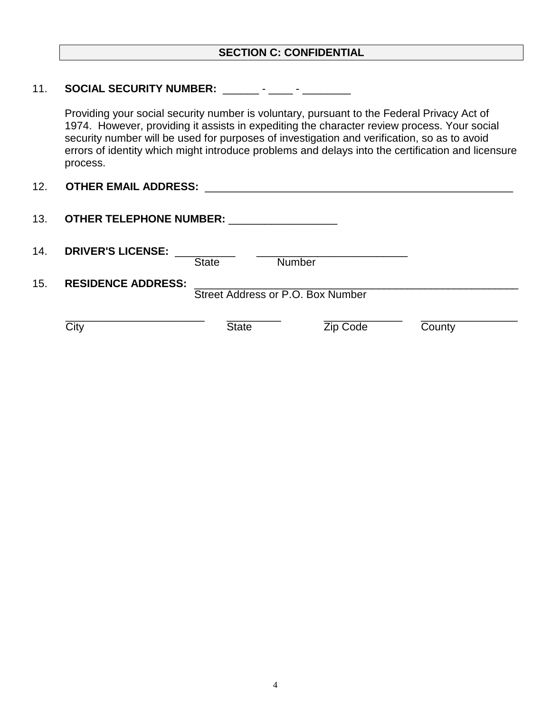#### **SECTION C: CONFIDENTIAL**

#### 11. **SOCIAL SECURITY NUMBER:** \_\_\_\_\_\_ - \_\_\_\_ - \_\_\_\_\_\_\_\_

Providing your social security number is voluntary, pursuant to the Federal Privacy Act of 1974. However, providing it assists in expediting the character review process. Your social security number will be used for purposes of investigation and verification, so as to avoid errors of identity which might introduce problems and delays into the certification and licensure process.

| $\sqrt{2}$<br><u>IZ.</u> | <b>OTHER EMAIL ADDRESS:</b> |  |
|--------------------------|-----------------------------|--|
|--------------------------|-----------------------------|--|

| 13. | <b>OTHER TELEPHONE NUMBER:</b> |              |                                   |        |
|-----|--------------------------------|--------------|-----------------------------------|--------|
| 14. | <b>DRIVER'S LICENSE:</b>       | <b>State</b> | <b>Number</b>                     |        |
| 15. | <b>RESIDENCE ADDRESS:</b>      |              | Street Address or P.O. Box Number |        |
|     | City                           | <b>State</b> | Zip Code                          | County |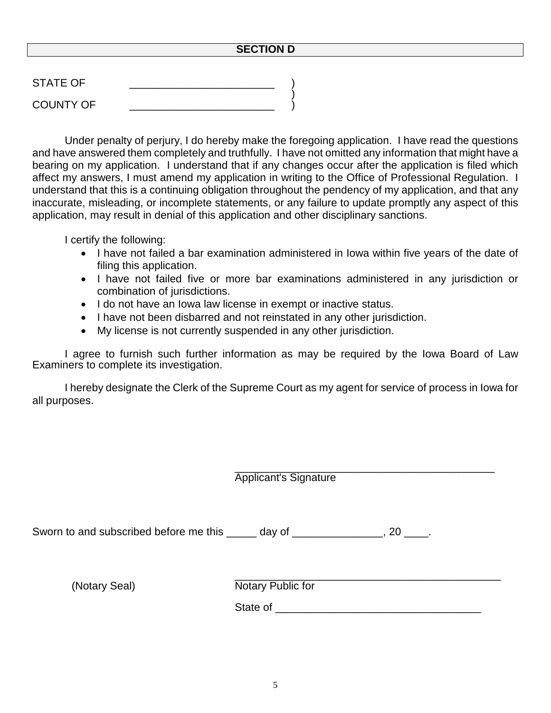#### **SECTION D**

| <b>STATE OF</b>  |  |
|------------------|--|
| <b>COUNTY OF</b> |  |

Under penalty of perjury, I do hereby make the foregoing application. I have read the questions and have answered them completely and truthfully. I have not omitted any information that might have a bearing on my application. I understand that if any changes occur after the application is filed which affect my answers, I must amend my application in writing to the Office of Professional Regulation. I understand that this is a continuing obligation throughout the pendency of my application, and that any inaccurate, misleading, or incomplete statements, or any failure to update promptly any aspect of this application, may result in denial of this application and other disciplinary sanctions.

I certify the following:

- I have not failed a bar examination administered in Iowa within five years of the date of filing this application.
- I have not failed five or more bar examinations administered in any jurisdiction or combination of jurisdictions.
- I do not have an lowa law license in exempt or inactive status.
- I have not been disbarred and not reinstated in any other jurisdiction.
- My license is not currently suspended in any other jurisdiction.

I agree to furnish such further information as may be required by the Iowa Board of Law Examiners to complete its investigation.

I hereby designate the Clerk of the Supreme Court as my agent for service of process in Iowa for all purposes.

|               | <b>Applicant's Signature</b>                                                    |
|---------------|---------------------------------------------------------------------------------|
|               | Sworn to and subscribed before me this ______ day of ________________, 20 ____. |
| (Notary Seal) | Notary Public for                                                               |
|               | State of                                                                        |